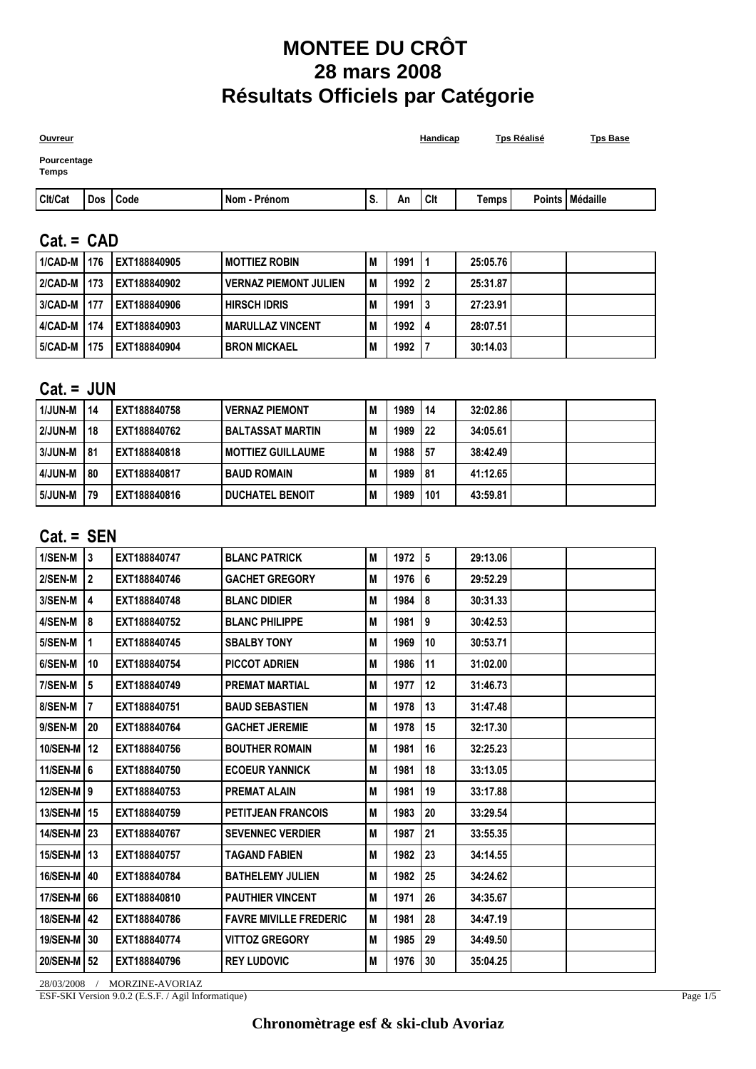# **MONTEE DU CRÔT 28 mars 2008 Résultats Officiels par Catégorie**

| <b>Ouvreur</b>       |  |            |              |    |    |       | Handicap | <b>Tps Réalisé</b> | <b>Tps Base</b>   |
|----------------------|--|------------|--------------|----|----|-------|----------|--------------------|-------------------|
| Pourcentage<br>Temps |  |            |              |    |    |       |          |                    |                   |
| Cit/Cat              |  | Dos   Code | Nom - Prénom | S. | An | l Cit | Temps    |                    | Points   Médaille |
|                      |  |            |              |    |    |       |          |                    |                   |

## **Cat. = CAD**

| 1/CAD-M   176 |      | EXT188840905 | <b>MOTTIEZ ROBIN</b>         | M   | 1991 | 25:05.76 |  |
|---------------|------|--------------|------------------------------|-----|------|----------|--|
| 2/CAD-M   173 |      | EXT188840902 | <b>VERNAZ PIEMONT JULIEN</b> | l M | 1992 | 25:31.87 |  |
| 3/CAD-M   177 |      | EXT188840906 | <b>HIRSCH IDRIS</b>          | M   | 1991 | 27:23.91 |  |
| 4/CAD-M   174 |      | EXT188840903 | <b>MARULLAZ VINCENT</b>      | M   | 1992 | 28:07.51 |  |
| 5/CAD-M       | 1175 | EXT188840904 | <b>BRON MICKAEL</b>          | M   | 1992 | 30:14.03 |  |

## **Cat. = JUN**

| l 1/JUN-M | 14   | EXT188840758 | <b>VERNAZ PIEMONT</b>    | M | 1989 | 14   | 32:02.86 |  |
|-----------|------|--------------|--------------------------|---|------|------|----------|--|
| l 2/JUN-M | 18   | EXT188840762 | <b>BALTASSAT MARTIN</b>  | M | 1989 | l 22 | 34:05.61 |  |
| l 3/JUN-M | l 81 | EXT188840818 | <b>MOTTIEZ GUILLAUME</b> | M | 1988 | l 57 | 38:42.49 |  |
| l 4/JUN-M | 80   | EXT188840817 | <b>BAUD ROMAIN</b>       | M | 1989 | l 81 | 41:12.65 |  |
| l 5/JUN-M | -79  | EXT188840816 | <b>DUCHATEL BENOIT</b>   | M | 1989 | 101  | 43:59.81 |  |

#### **Cat. = SEN**

| 1/SEN-M      | 3              | EXT188840747 | <b>BLANC PATRICK</b>          | M | 1972 | 5  | 29:13.06 |  |
|--------------|----------------|--------------|-------------------------------|---|------|----|----------|--|
| 2/SEN-M      | $\overline{2}$ | EXT188840746 | <b>GACHET GREGORY</b>         | M | 1976 | 6  | 29:52.29 |  |
| 3/SEN-M      | 4              | EXT188840748 | <b>BLANC DIDIER</b>           | M | 1984 | 8  | 30:31.33 |  |
| 4/SEN-M      | 8              | EXT188840752 | <b>BLANC PHILIPPE</b>         | M | 1981 | 9  | 30:42.53 |  |
| 5/SEN-M      | 1              | EXT188840745 | <b>SBALBY TONY</b>            | M | 1969 | 10 | 30:53.71 |  |
| 6/SEN-M      | 10             | EXT188840754 | <b>PICCOT ADRIEN</b>          | М | 1986 | 11 | 31:02.00 |  |
| 7/SEN-M      | 5              | EXT188840749 | <b>PREMAT MARTIAL</b>         | M | 1977 | 12 | 31:46.73 |  |
| 8/SEN-M      | $\overline{7}$ | EXT188840751 | <b>BAUD SEBASTIEN</b>         | M | 1978 | 13 | 31:47.48 |  |
| 9/SEN-M      | 20             | EXT188840764 | <b>GACHET JEREMIE</b>         | М | 1978 | 15 | 32:17.30 |  |
| 10/SEN-M     | 12             | EXT188840756 | <b>BOUTHER ROMAIN</b>         | M | 1981 | 16 | 32:25.23 |  |
| 11/SEN-M 6   |                | EXT188840750 | <b>ECOEUR YANNICK</b>         | M | 1981 | 18 | 33:13.05 |  |
| 12/SEN-M   9 |                | EXT188840753 | <b>PREMAT ALAIN</b>           | M | 1981 | 19 | 33:17.88 |  |
| 13/SEN-M     | 15             | EXT188840759 | <b>PETITJEAN FRANCOIS</b>     | M | 1983 | 20 | 33:29.54 |  |
| 14/SEN-M     | l 23           | EXT188840767 | <b>SEVENNEC VERDIER</b>       | M | 1987 | 21 | 33:55.35 |  |
| 15/SEN-M     | 13             | EXT188840757 | <b>TAGAND FABIEN</b>          | М | 1982 | 23 | 34:14.55 |  |
| 16/SEN-M     | 40             | EXT188840784 | <b>BATHELEMY JULIEN</b>       | M | 1982 | 25 | 34:24.62 |  |
| 17/SEN-M     | 66             | EXT188840810 | <b>PAUTHIER VINCENT</b>       | M | 1971 | 26 | 34:35.67 |  |
| 18/SEN-M     | 42             | EXT188840786 | <b>FAVRE MIVILLE FREDERIC</b> | M | 1981 | 28 | 34:47.19 |  |
| 19/SEN-M     | 30             | EXT188840774 | <b>VITTOZ GREGORY</b>         | M | 1985 | 29 | 34:49.50 |  |
| 20/SEN-M     | 52             | EXT188840796 | <b>REY LUDOVIC</b>            | M | 1976 | 30 | 35:04.25 |  |
|              |                |              |                               |   |      |    |          |  |

28/03/2008 / MORZINE-AVORIAZ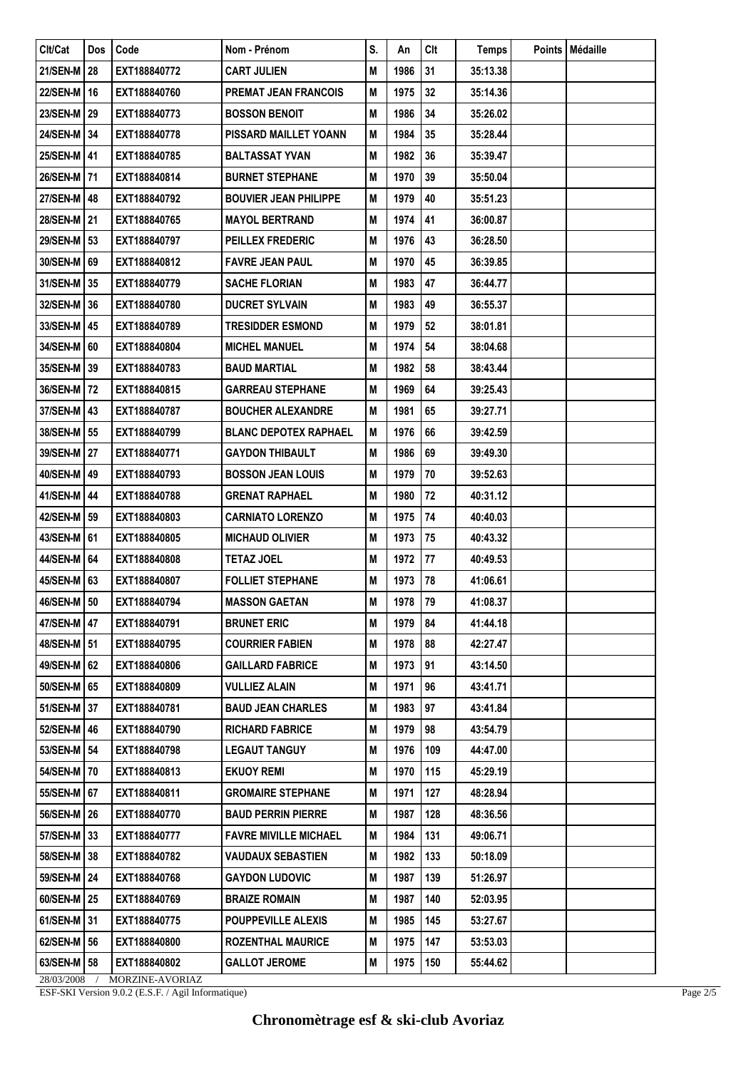| Clt/Cat         | <b>Dos</b> | Code            | Nom - Prénom                 | S. | An      | Clt | Temps    | Points   Médaille |
|-----------------|------------|-----------------|------------------------------|----|---------|-----|----------|-------------------|
| 21/SEN-M        | 28         | EXT188840772    | <b>CART JULIEN</b>           | M  | 1986    | 31  | 35:13.38 |                   |
| 22/SEN-M   16   |            | EXT188840760    | <b>PREMAT JEAN FRANCOIS</b>  | M  | 1975    | 32  | 35:14.36 |                   |
| 23/SEN-M 29     |            | EXT188840773    | <b>BOSSON BENOIT</b>         | M  | 1986    | 34  | 35:26.02 |                   |
| 24/SEN-M 34     |            | EXT188840778    | <b>PISSARD MAILLET YOANN</b> | M  | 1984    | 35  | 35:28.44 |                   |
| 25/SEN-M   41   |            | EXT188840785    | <b>BALTASSAT YVAN</b>        | M  | 1982    | 36  | 35:39.47 |                   |
| 26/SEN-M   71   |            | EXT188840814    | <b>BURNET STEPHANE</b>       | M  | 1970    | 39  | 35:50.04 |                   |
| 27/SEN-M   48   |            | EXT188840792    | <b>BOUVIER JEAN PHILIPPE</b> | M  | 1979    | 40  | 35:51.23 |                   |
| 28/SEN-M   21   |            | EXT188840765    | <b>MAYOL BERTRAND</b>        | M  | 1974    | 41  | 36:00.87 |                   |
| 29/SEN-M 53     |            | EXT188840797    | PEILLEX FREDERIC             | M  | 1976    | 43  | 36:28.50 |                   |
| 30/SEN-M 69     |            | EXT188840812    | <b>FAVRE JEAN PAUL</b>       | M  | 1970    | 45  | 36:39.85 |                   |
| 31/SEN-M 35     |            | EXT188840779    | <b>SACHE FLORIAN</b>         | M  | 1983    | 47  | 36:44.77 |                   |
| 32/SEN-M 36     |            | EXT188840780    | <b>DUCRET SYLVAIN</b>        | M  | 1983    | 49  | 36:55.37 |                   |
| 33/SEN-M   45   |            | EXT188840789    | <b>TRESIDDER ESMOND</b>      | M  | 1979    | 52  | 38:01.81 |                   |
| 34/SEN-M 60     |            | EXT188840804    | <b>MICHEL MANUEL</b>         | M  | 1974    | 54  | 38:04.68 |                   |
| 35/SEN-M 39     |            | EXT188840783    | <b>BAUD MARTIAL</b>          | M  | 1982    | 58  | 38:43.44 |                   |
| 36/SEN-M   72   |            | EXT188840815    | <b>GARREAU STEPHANE</b>      | M  | 1969    | 64  | 39:25.43 |                   |
| 37/SEN-M   43   |            | EXT188840787    | <b>BOUCHER ALEXANDRE</b>     | M  | 1981    | 65  | 39:27.71 |                   |
| 38/SEN-M 55     |            | EXT188840799    | <b>BLANC DEPOTEX RAPHAEL</b> | M  | 1976    | 66  | 39:42.59 |                   |
| 39/SEN-M 27     |            | EXT188840771    | <b>GAYDON THIBAULT</b>       | M  | 1986    | 69  | 39:49.30 |                   |
| 40/SEN-M   49   |            | EXT188840793    | <b>BOSSON JEAN LOUIS</b>     | M  | 1979    | 70  | 39:52.63 |                   |
| 41/SEN-M   44   |            | EXT188840788    | <b>GRENAT RAPHAEL</b>        | M  | 1980    | 72  | 40:31.12 |                   |
| 42/SEN-M   59   |            | EXT188840803    | <b>CARNIATO LORENZO</b>      | M  | 1975    | 74  | 40:40.03 |                   |
| 43/SEN-M 61     |            | EXT188840805    | <b>MICHAUD OLIVIER</b>       | M  | 1973    | 75  | 40:43.32 |                   |
| 44/SEN-M   64   |            | EXT188840808    | <b>TETAZ JOEL</b>            | M  | 1972    | 77  | 40:49.53 |                   |
| 45/SEN-M   63   |            | EXT188840807    | <b>FOLLIET STEPHANE</b>      | M  | 1973    | 78  | 41:06.61 |                   |
| 46/SEN-M   50   |            | EXT188840794    | <b>MASSON GAETAN</b>         | M  | 1978 79 |     | 41:08.37 |                   |
| 47/SEN-M 47     |            | EXT188840791    | <b>BRUNET ERIC</b>           | M  | 1979    | 84  | 41:44.18 |                   |
| 48/SEN-M 51     |            | EXT188840795    | <b>COURRIER FABIEN</b>       | M  | 1978    | 88  | 42:27.47 |                   |
| 49/SEN-M   62   |            | EXT188840806    | <b>GAILLARD FABRICE</b>      | M  | 1973    | 91  | 43:14.50 |                   |
| 50/SEN-M 65     |            | EXT188840809    | VULLIEZ ALAIN                | M  | 1971    | 96  | 43:41.71 |                   |
| 51/SEN-M   37   |            | EXT188840781    | <b>BAUD JEAN CHARLES</b>     | M  | 1983    | 97  | 43:41.84 |                   |
| 52/SEN-M 46     |            | EXT188840790    | <b>RICHARD FABRICE</b>       | M  | 1979    | 98  | 43:54.79 |                   |
| 53/SEN-M 54     |            | EXT188840798    | <b>LEGAUT TANGUY</b>         | M  | 1976    | 109 | 44:47.00 |                   |
| 54/SEN-M   70   |            | EXT188840813    | <b>EKUOY REMI</b>            | M  | 1970    | 115 | 45:29.19 |                   |
| 55/SEN-M 67     |            | EXT188840811    | <b>GROMAIRE STEPHANE</b>     | M  | 1971    | 127 | 48:28.94 |                   |
| 56/SEN-M   26   |            | EXT188840770    | <b>BAUD PERRIN PIERRE</b>    | M  | 1987    | 128 | 48:36.56 |                   |
| 57/SEN-M 33     |            | EXT188840777    | <b>FAVRE MIVILLE MICHAEL</b> | M  | 1984    | 131 | 49:06.71 |                   |
| <b>58/SEN-M</b> | 38         | EXT188840782    | <b>VAUDAUX SEBASTIEN</b>     | M  | 1982    | 133 | 50:18.09 |                   |
| 59/SEN-M   24   |            | EXT188840768    | <b>GAYDON LUDOVIC</b>        | M  | 1987    | 139 | 51:26.97 |                   |
| 60/SEN-M 25     |            | EXT188840769    | <b>BRAIZE ROMAIN</b>         | M  | 1987    | 140 | 52:03.95 |                   |
| 61/SEN-M 31     |            | EXT188840775    | <b>POUPPEVILLE ALEXIS</b>    | M  | 1985    | 145 | 53:27.67 |                   |
| 62/SEN-M 56     |            | EXT188840800    | <b>ROZENTHAL MAURICE</b>     | M  | 1975    | 147 | 53:53.03 |                   |
| 63/SEN-M 58     |            | EXT188840802    | <b>GALLOT JEROME</b>         | M  | 1975    | 150 | 55:44.62 |                   |
| 28/03/2008      |            | MORZINE-AVORIAZ |                              |    |         |     |          |                   |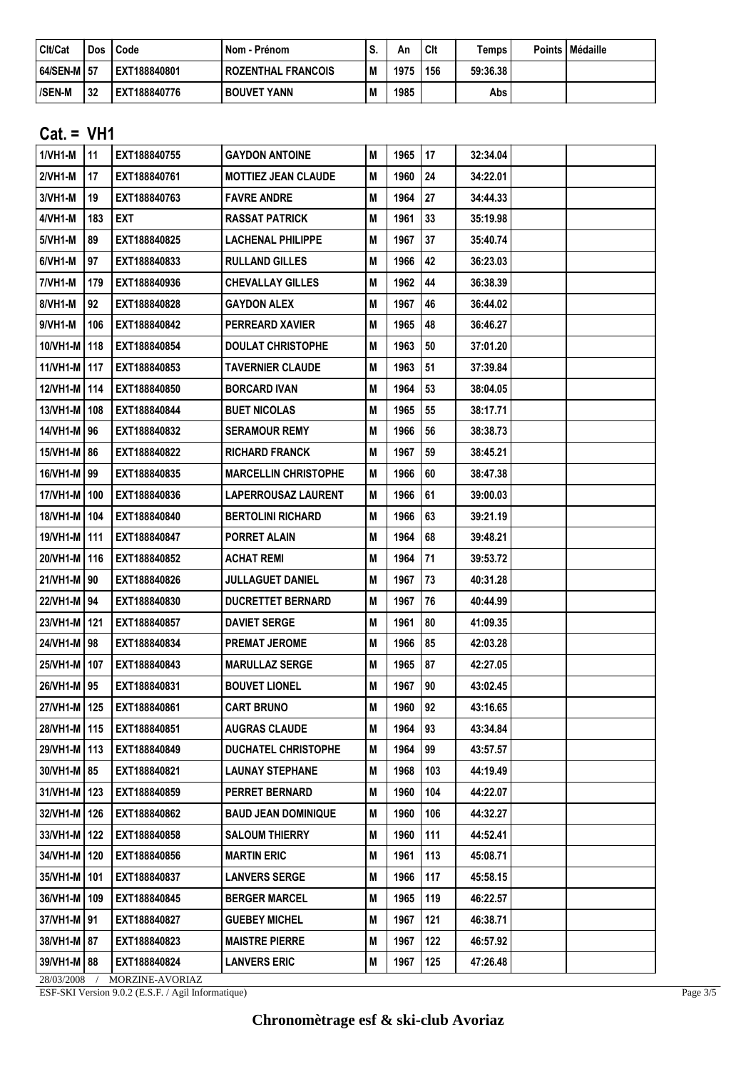| Cit/Cat       | Dos | Code         | Nom - Prénom         | S   | Αn   | Clt | <b>Temps</b> | Points | <b>I</b> Médaille |
|---------------|-----|--------------|----------------------|-----|------|-----|--------------|--------|-------------------|
| 64/SEN-M   57 |     | EXT188840801 | I ROZENTHAL FRANCOIS | l M | 1975 | 156 | 59:36.38     |        |                   |
| l/SEN-M       | 32  | EXT188840776 | <b>BOUVET YANN</b>   | l M | 1985 |     | Abs          |        |                   |

## **Cat. = VH1**

| 1/VH1-M        | 11  | EXT188840755    | <b>GAYDON ANTOINE</b>       | M | 1965      | 17  | 32:34.04 |  |
|----------------|-----|-----------------|-----------------------------|---|-----------|-----|----------|--|
| 2/VH1-M        | 17  | EXT188840761    | <b>MOTTIEZ JEAN CLAUDE</b>  | M | 1960      | 24  | 34:22.01 |  |
| 3/VH1-M        | 19  | EXT188840763    | <b>FAVRE ANDRE</b>          | M | 1964      | 27  | 34:44.33 |  |
| 4/VH1-M        | 183 | <b>EXT</b>      | <b>RASSAT PATRICK</b>       | M | 1961      | 33  | 35:19.98 |  |
| 5/VH1-M        | 89  | EXT188840825    | <b>LACHENAL PHILIPPE</b>    | M | 1967      | 37  | 35:40.74 |  |
| 6/VH1-M        | 97  | EXT188840833    | <b>RULLAND GILLES</b>       | M | 1966      | 42  | 36:23.03 |  |
| 7/VH1-M        | 179 | EXT188840936    | <b>CHEVALLAY GILLES</b>     | M | 1962      | 44  | 36:38.39 |  |
| 8/VH1-M        | 92  | EXT188840828    | <b>GAYDON ALEX</b>          | M | 1967      | 46  | 36:44.02 |  |
| 9/VH1-M        | 106 | EXT188840842    | <b>PERREARD XAVIER</b>      | M | 1965      | 48  | 36:46.27 |  |
| 10/VH1-M   118 |     | EXT188840854    | <b>DOULAT CHRISTOPHE</b>    | M | 1963      | 50  | 37:01.20 |  |
| 11/VH1-M 117   |     | EXT188840853    | <b>TAVERNIER CLAUDE</b>     | M | 1963      | 51  | 37:39.84 |  |
| 12/VH1-M   114 |     | EXT188840850    | <b>BORCARD IVAN</b>         | M | 1964      | 53  | 38:04.05 |  |
| 13/VH1-M   108 |     | EXT188840844    | <b>BUET NICOLAS</b>         | M | 1965      | 55  | 38:17.71 |  |
| 14/VH1-M 96    |     | EXT188840832    | <b>SERAMOUR REMY</b>        | M | 1966      | 56  | 38:38.73 |  |
| 15/VH1-M 86    |     | EXT188840822    | <b>RICHARD FRANCK</b>       | M | 1967      | 59  | 38:45.21 |  |
| 16/VH1-M   99  |     | EXT188840835    | <b>MARCELLIN CHRISTOPHE</b> | M | 1966      | 60  | 38:47.38 |  |
| 17/VH1-M   100 |     | EXT188840836    | <b>LAPERROUSAZ LAURENT</b>  | M | 1966      | 61  | 39:00.03 |  |
| 18/VH1-M   104 |     | EXT188840840    | <b>BERTOLINI RICHARD</b>    | M | 1966      | 63  | 39:21.19 |  |
| 19/VH1-M   111 |     | EXT188840847    | <b>PORRET ALAIN</b>         | M | 1964      | 68  | 39:48.21 |  |
| 20/VH1-M   116 |     | EXT188840852    | <b>ACHAT REMI</b>           | M | 1964      | 71  | 39:53.72 |  |
|                |     | EXT188840826    | <b>JULLAGUET DANIEL</b>     | M | 1967      | 73  | 40:31.28 |  |
| 22/VH1-M 94    |     | EXT188840830    | <b>DUCRETTET BERNARD</b>    | M | 1967      | 76  | 40:44.99 |  |
| 23/VH1-M 121   |     | EXT188840857    | <b>DAVIET SERGE</b>         | M | 1961      | 80  | 41:09.35 |  |
| 24/VH1-M 98    |     | EXT188840834    | <b>PREMAT JEROME</b>        | M | 1966      | 85  | 42:03.28 |  |
| 25/VH1-M   107 |     | EXT188840843    | <b>MARULLAZ SERGE</b>       | M | 1965      | 87  | 42:27.05 |  |
| 26/VH1-M 95    |     | EXT188840831    | <b>BOUVET LIONEL</b>        | M | 1967      | 90  | 43:02.45 |  |
| 27/VH1-M   125 |     | EXT188840861    | <b>CART BRUNO</b>           | M | 1960   92 |     | 43:16.65 |  |
| 28/VH1-M 115   |     | EXT188840851    | <b>AUGRAS CLAUDE</b>        | M | 1964      | 93  | 43:34.84 |  |
| 29/VH1-M 113   |     | EXT188840849    | <b>DUCHATEL CHRISTOPHE</b>  | M | 1964      | 99  | 43:57.57 |  |
| 30/VH1-M 85    |     | EXT188840821    | <b>LAUNAY STEPHANE</b>      | Μ | 1968      | 103 | 44:19.49 |  |
| 31/VH1-M 123   |     | EXT188840859    | PERRET BERNARD              | M | 1960      | 104 | 44:22.07 |  |
| 32/VH1-M   126 |     | EXT188840862    | <b>BAUD JEAN DOMINIQUE</b>  | M | 1960      | 106 | 44:32.27 |  |
| 33/VH1-M 122   |     | EXT188840858    | <b>SALOUM THIERRY</b>       | M | 1960      | 111 | 44:52.41 |  |
| 34/VH1-M   120 |     | EXT188840856    | <b>MARTIN ERIC</b>          | M | 1961      | 113 | 45:08.71 |  |
| 35/VH1-M   101 |     | EXT188840837    | <b>LANVERS SERGE</b>        | M | 1966      | 117 | 45:58.15 |  |
| 36/VH1-M   109 |     | EXT188840845    | <b>BERGER MARCEL</b>        | M | 1965      | 119 | 46:22.57 |  |
| 37/VH1-M 91    |     | EXT188840827    | <b>GUEBEY MICHEL</b>        | Μ | 1967      | 121 | 46:38.71 |  |
| 38/VH1-M 87    |     | EXT188840823    | <b>MAISTRE PIERRE</b>       | M | 1967      | 122 | 46:57.92 |  |
| 39/VH1-M 88    |     | EXT188840824    | <b>LANVERS ERIC</b>         | Μ | 1967      | 125 | 47:26.48 |  |
| 28/03/2008     |     | MORZINE-AVORIAZ |                             |   |           |     |          |  |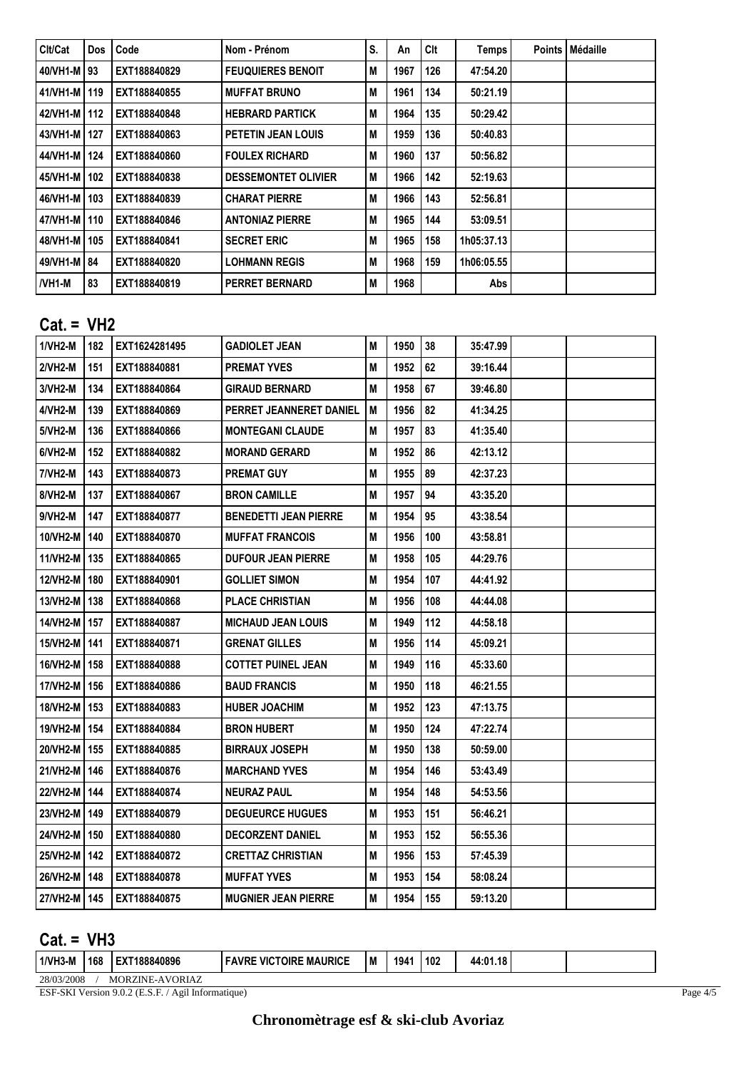| l Clt/Cat      | Dos I | Code         | Nom - Prénom               | S. | An   | Clt | Temps      | <b>Points   Médaille</b> |
|----------------|-------|--------------|----------------------------|----|------|-----|------------|--------------------------|
| 40/VH1-M   93  |       | EXT188840829 | <b>FEUQUIERES BENOIT</b>   | M  | 1967 | 126 | 47:54.20   |                          |
| 41/VH1-M   119 |       | EXT188840855 | <b>MUFFAT BRUNO</b>        | M  | 1961 | 134 | 50:21.19   |                          |
| 42/VH1-M   112 |       | EXT188840848 | <b>HEBRARD PARTICK</b>     | M  | 1964 | 135 | 50:29.42   |                          |
| 43/VH1-M   127 |       | EXT188840863 | PETETIN JEAN LOUIS         | M  | 1959 | 136 | 50:40.83   |                          |
| 44/VH1-M   124 |       | EXT188840860 | <b>FOULEX RICHARD</b>      | M  | 1960 | 137 | 50:56.82   |                          |
| 45/VH1-M   102 |       | EXT188840838 | <b>DESSEMONTET OLIVIER</b> | M  | 1966 | 142 | 52:19.63   |                          |
| 46/VH1-M   103 |       | EXT188840839 | <b>CHARAT PIERRE</b>       | M  | 1966 | 143 | 52:56.81   |                          |
| 47/VH1-M   110 |       | EXT188840846 | <b>ANTONIAZ PIERRE</b>     | M  | 1965 | 144 | 53:09.51   |                          |
| 48/VH1-M   105 |       | EXT188840841 | <b>SECRET ERIC</b>         | M  | 1965 | 158 | 1h05:37.13 |                          |
| 49/VH1-M   84  |       | EXT188840820 | <b>LOHMANN REGIS</b>       | M  | 1968 | 159 | 1h06:05.55 |                          |
| l/VH1-M        | 83    | EXT188840819 | PERRET BERNARD             | M  | 1968 |     | Abs        |                          |

## **Cat. = VH2**

| 1/VH2-M        | 182   | EXT1624281495 | GADIOLET JEAN                | M | 1950 | 38  | 35:47.99 |  |
|----------------|-------|---------------|------------------------------|---|------|-----|----------|--|
| $2/VH2-M$      | 151   | EXT188840881  | <b>PREMAT YVES</b>           | M | 1952 | 62  | 39:16.44 |  |
| 3/VH2-M        | 134   | EXT188840864  | <b>GIRAUD BERNARD</b>        | M | 1958 | 67  | 39:46.80 |  |
| 4/VH2-M        | 139   | EXT188840869  | PERRET JEANNERET DANIEL      | M | 1956 | 82  | 41:34.25 |  |
| 5/VH2-M        | 136   | EXT188840866  | <b>MONTEGANI CLAUDE</b>      | M | 1957 | 83  | 41:35.40 |  |
| $6/VH2-M$      | 152   | EXT188840882  | <b>MORAND GERARD</b>         | M | 1952 | 86  | 42:13.12 |  |
| <b>7/VH2-M</b> | 143   | EXT188840873  | <b>PREMAT GUY</b>            | M | 1955 | 89  | 42:37.23 |  |
| 8/VH2-M        | 137   | EXT188840867  | <b>BRON CAMILLE</b>          | M | 1957 | 94  | 43:35.20 |  |
| 9/VH2-M        | 147   | EXT188840877  | <b>BENEDETTI JEAN PIERRE</b> | M | 1954 | 95  | 43:38.54 |  |
| 10/VH2-M       | 140   | EXT188840870  | <b>MUFFAT FRANCOIS</b>       | M | 1956 | 100 | 43:58.81 |  |
| 11/VH2-M   135 |       | EXT188840865  | <b>DUFOUR JEAN PIERRE</b>    | M | 1958 | 105 | 44:29.76 |  |
| 12/VH2-M       | 180   | EXT188840901  | <b>GOLLIET SIMON</b>         | M | 1954 | 107 | 44:41.92 |  |
| 13/VH2-M   138 |       | EXT188840868  | <b>PLACE CHRISTIAN</b>       | M | 1956 | 108 | 44:44.08 |  |
| 14/VH2-M 157   |       | EXT188840887  | <b>MICHAUD JEAN LOUIS</b>    | M | 1949 | 112 | 44:58.18 |  |
| 15/VH2-M   141 |       | EXT188840871  | GRENAT GILLES                | M | 1956 | 114 | 45:09.21 |  |
| 16/VH2-M   158 |       | EXT188840888  | <b>COTTET PUINEL JEAN</b>    | M | 1949 | 116 | 45:33.60 |  |
| 17/VH2-M       | l 156 | EXT188840886  | <b>BAUD FRANCIS</b>          | M | 1950 | 118 | 46:21.55 |  |
| 18/VH2-M       | 153   | EXT188840883  | <b>HUBER JOACHIM</b>         | M | 1952 | 123 | 47:13.75 |  |
| 19/VH2-M       | 154   | EXT188840884  | <b>BRON HUBERT</b>           | M | 1950 | 124 | 47:22.74 |  |
| 20/VH2-M       | 155   | EXT188840885  | <b>BIRRAUX JOSEPH</b>        | M | 1950 | 138 | 50:59.00 |  |
| 21/VH2-M   146 |       | EXT188840876  | <b>MARCHAND YVES</b>         | M | 1954 | 146 | 53:43.49 |  |
| 22/VH2-M       | 144   | EXT188840874  | <b>NEURAZ PAUL</b>           | M | 1954 | 148 | 54:53.56 |  |
| 23/VH2-M       | 149   | EXT188840879  | <b>DEGUEURCE HUGUES</b>      | M | 1953 | 151 | 56:46.21 |  |
| 24/VH2-M   150 |       | EXT188840880  | <b>DECORZENT DANIEL</b>      | M | 1953 | 152 | 56:55.36 |  |
| 25/VH2-M       | 142   | EXT188840872  | <b>CRETTAZ CHRISTIAN</b>     | M | 1956 | 153 | 57:45.39 |  |
| 26/VH2-M   148 |       | EXT188840878  | <b>MUFFAT YVES</b>           | M | 1953 | 154 | 58:08.24 |  |
| 27/VH2-M   145 |       | EXT188840875  | <b>MUGNIER JEAN PIERRE</b>   | M | 1954 | 155 | 59:13.20 |  |

## **Cat. = VH3**

| l 1/VH3-M  | 168 | 188840896              | <b>CTOIRE MAURICE</b><br>VIC.<br>FAVRE, | ١M | 1941 | l 102 | 44:01.18 |  |
|------------|-----|------------------------|-----------------------------------------|----|------|-------|----------|--|
| 28/03/2008 |     | <b>MORZINE-AVORIAZ</b> |                                         |    |      |       |          |  |